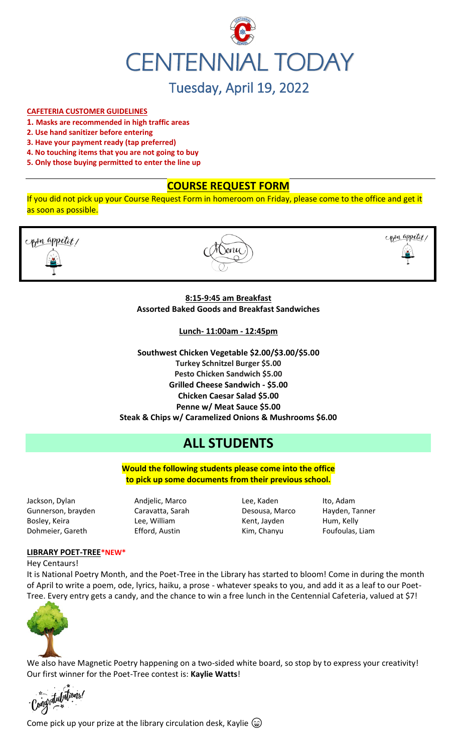

# Tuesday, April 19, 2022

### **CAFETERIA CUSTOMER GUIDELINES**

- **1. Masks are recommended in high traffic areas**
- **2. Use hand sanitizer before entering**
- **3. Have your payment ready (tap preferred)**
- **4. No touching items that you are not going to buy**
- **5. Only those buying permitted to enter the line up**

### **COURSE REQUEST FORM**

If you did not pick up your Course Request Form in homeroom on Friday, please come to the office and get it as soon as possible.



### **8:15-9:45 am Breakfast Assorted Baked Goods and Breakfast Sandwiches**

**Lunch- 11:00am - 12:45pm**

**Southwest Chicken Vegetable \$2.00/\$3.00/\$5.00 Turkey Schnitzel Burger \$5.00 Pesto Chicken Sandwich \$5.00 Grilled Cheese Sandwich - \$5.00 Chicken Caesar Salad \$5.00 Penne w/ Meat Sauce \$5.00 Steak & Chips w/ Caramelized Onions & Mushrooms \$6.00**

# **ALL STUDENTS**

**Would the following students please come into the office to pick up some documents from their previous school.**

Jackson, Dylan Andjelic, Marco Lee, Kaden Ito, Adam Gunnerson, brayden Caravatta, Sarah Desousa, Marco Hayden, Tanner Bosley, Keira **Market Lee, William** Kent, Jayden Hum, Kelly Dohmeier, Gareth **Efford, Austin** Kim, Chanyu Foufoulas, Liam

### **LIBRARY POET-TREE\*NEW\***

Hey Centaurs!

It is National Poetry Month, and the Poet-Tree in the Library has started to bloom! Come in during the month of April to write a poem, ode, lyrics, haiku, a prose - whatever speaks to you, and add it as a leaf to our Poet-Tree. Every entry gets a candy, and the chance to win a free lunch in the Centennial Cafeteria, valued at \$7!



We also have Magnetic Poetry happening on a two-sided white board, so stop by to express your creativity! Our first winner for the Poet-Tree contest is: **Kaylie Watts**!

<sub>ritul</sub>utions!

Come pick up your prize at the library circulation desk, Kaylie  $\circledast$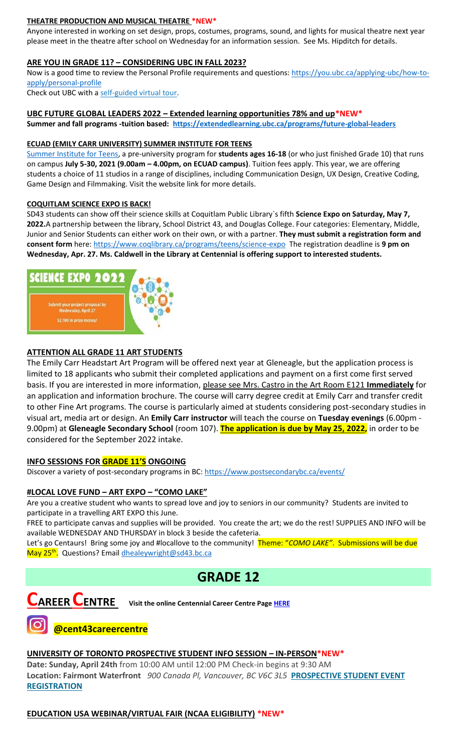### **THEATRE PRODUCTION AND MUSICAL THEATRE \*NEW\***

Anyone interested in working on set design, props, costumes, programs, sound, and lights for musical theatre next year please meet in the theatre after school on Wednesday for an information session. See Ms. Hipditch for details.

### **ARE YOU IN GRADE 11? – CONSIDERING UBC IN FALL 2023?**

Now is a good time to review the Personal Profile requirements and questions: [https://you.ubc.ca/applying-ubc/how-to](https://you.ubc.ca/applying-ubc/how-to-apply/personal-profile)[apply/personal-profile](https://you.ubc.ca/applying-ubc/how-to-apply/personal-profile)

Check out UBC with a self-guided [virtual tour.](https://you.ubc.ca/tours-info-sessions/virtual-tour/)

### **UBC FUTURE GLOBAL LEADERS 2022 – Extended learning opportunities 78% and up\*NEW\***

**Summer and fall programs -tuition based: <https://extendedlearning.ubc.ca/programs/future-global-leaders>**

#### **ECUAD (EMILY CARR UNIVERSITY) SUMMER INSTITUTE FOR TEENS**

[Summer Institute for Teens,](https://www.ecuad.ca/academics/teen-programs/summer-institute-for-teens) a pre-university program for **students ages 16-18** (or who just finished Grade 10) that runs on campus **July 5-30, 2021 (9.00am – 4.00pm, on ECUAD campus)**. Tuition fees apply. This year, we are offering students a choice of 11 studios in a range of disciplines, including Communication Design, UX Design, Creative Coding, Game Design and Filmmaking. Visit the website link for more details.

#### **COQUITLAM SCIENCE EXPO IS BACK!**

SD43 students can show off their science skills at Coquitlam Public Library`s fifth **Science Expo on Saturday, May 7, 2022.**A partnership between the library, School District 43, and Douglas College. Four categories: Elementary, Middle, Junior and Senior Students can either work on their own, or with a partner. **They must submit a registration form and consent form** here:<https://www.coqlibrary.ca/programs/teens/science-expo> The registration deadline is **9 pm on Wednesday, Apr. 27. Ms. Caldwell in the Library at Centennial is offering support to interested students.**



### **ATTENTION ALL GRADE 11 ART STUDENTS**

The Emily Carr Headstart Art Program will be offered next year at Gleneagle, but the application process is limited to 18 applicants who submit their completed applications and payment on a first come first served basis. If you are interested in more information, please see Mrs. Castro in the Art Room E121 **Immediately** for an application and information brochure. The course will carry degree credit at Emily Carr and transfer credit to other Fine Art programs. The course is particularly aimed at students considering post-secondary studies in visual art, media art or design. An **Emily Carr instructor** will teach the course on **Tuesday evenings** (6.00pm - 9.00pm) at **Gleneagle Secondary School** (room 107). **The application is due by May 25, 2022,** in order to be considered for the September 2022 intake.

### **INFO SESSIONS FOR GRADE 11'S ONGOING**

Discover a variety of post-secondary programs in BC:<https://www.postsecondarybc.ca/events/>

### **#LOCAL LOVE FUND – ART EXPO – "COMO LAKE"**

Are you a creative student who wants to spread love and joy to seniors in our community? Students are invited to participate in a travelling ART EXPO this June.

FREE to participate canvas and supplies will be provided. You create the art; we do the rest! SUPPLIES AND INFO will be available WEDNESDAY AND THURSDAY in block 3 beside the cafeteria.

Let's go Centaurs! Bring some joy and #locallove to the community! Theme: "*COMO LAKE"*. Submissions will be due May 25<sup>th</sup>. Questions? Email <u>dhealeywright@sd43.bc.ca</u>

### **GRADE 12**



### **@cent43careercentre**

### **UNIVERSITY OF TORONTO PROSPECTIVE STUDENT INFO SESSION – IN-PERSON\*NEW\***

**Date: Sunday, April 24th** from 10:00 AM until 12:00 PM Check-in begins at 9:30 AM **Location: Fairmont Waterfront** *900 Canada Pl, Vancouver, BC V6C 3L5* **[PROSPECTIVE STUDENT EVENT](https://mx.technolutions.net/ss/c/VpDhrCrvzjOrNk6AZ3TbHjFLbqWBZPhhofjteQ2YNx82CaUosH1dcVhwZYliQGg4fqoAmVG1Ka_8jV1ZqG7kHkEUUWMfwc8VPjIe6VXHcqaY02ME2QCvDFADSudDQ-wU/3kx/RvkltXeQS-KcXTsaf7PNeQ/h1/qokCettkLEwcVkww2NiO3af-alqvB1eOXLnFAgxLQVQ)  [REGISTRATION](https://mx.technolutions.net/ss/c/VpDhrCrvzjOrNk6AZ3TbHjFLbqWBZPhhofjteQ2YNx82CaUosH1dcVhwZYliQGg4fqoAmVG1Ka_8jV1ZqG7kHkEUUWMfwc8VPjIe6VXHcqaY02ME2QCvDFADSudDQ-wU/3kx/RvkltXeQS-KcXTsaf7PNeQ/h1/qokCettkLEwcVkww2NiO3af-alqvB1eOXLnFAgxLQVQ)**

**EDUCATION USA WEBINAR/VIRTUAL FAIR (NCAA ELIGIBILITY) \*NEW\***